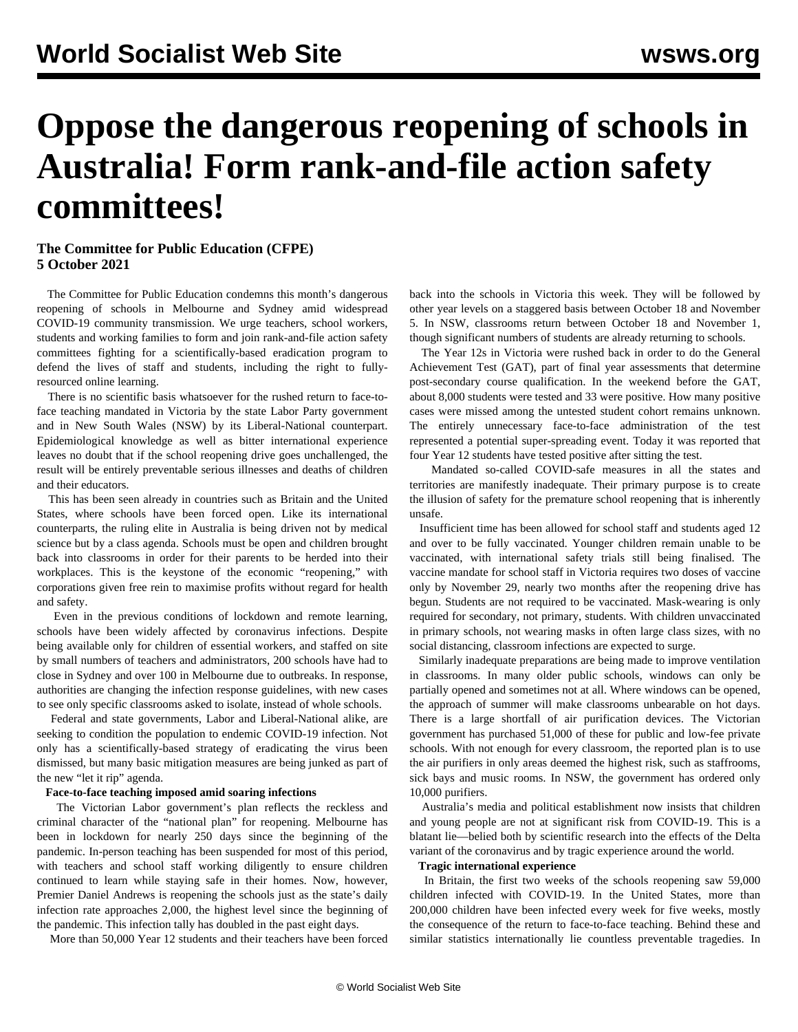# **Oppose the dangerous reopening of schools in Australia! Form rank-and-file action safety committees!**

## **The Committee for Public Education (CFPE) 5 October 2021**

 The Committee for Public Education condemns this month's dangerous reopening of schools in Melbourne and Sydney amid widespread COVID-19 community transmission. We urge teachers, school workers, students and working families to form and join rank-and-file action safety committees fighting for a scientifically-based eradication program to defend the lives of staff and students, including the right to fullyresourced online learning.

 There is no scientific basis whatsoever for the rushed return to face-toface teaching mandated in Victoria by the state Labor Party government and in New South Wales (NSW) by its Liberal-National counterpart. Epidemiological knowledge as well as bitter international experience leaves no doubt that if the school reopening drive goes unchallenged, the result will be entirely preventable serious illnesses and deaths of children and their educators.

 This has been seen already in countries such as Britain and the United States, where schools have been forced open. Like its international counterparts, the ruling elite in Australia is being driven not by medical science but by a class agenda. Schools must be open and children brought back into classrooms in order for their parents to be herded into their workplaces. This is the keystone of the economic "reopening," with corporations given free rein to maximise profits without regard for health and safety.

 Even in the previous conditions of lockdown and remote learning, schools have been widely affected by coronavirus infections. Despite being available only for children of essential workers, and staffed on site by small numbers of teachers and administrators, 200 schools have had to close in Sydney and over 100 in Melbourne due to outbreaks. In response, authorities are changing the infection response guidelines, with new cases to see only specific classrooms asked to isolate, instead of whole schools.

 Federal and state governments, Labor and Liberal-National alike, are seeking to condition the population to endemic COVID-19 infection. Not only has a scientifically-based strategy of eradicating the virus been dismissed, but many basic mitigation measures are being junked as part of the new "let it rip" agenda.

### **Face-to-face teaching imposed amid soaring infections**

 The Victorian Labor government's plan reflects the reckless and criminal character of the "national plan" for reopening. Melbourne has been in lockdown for nearly 250 days since the beginning of the pandemic. In-person teaching has been suspended for most of this period, with teachers and school staff working diligently to ensure children continued to learn while staying safe in their homes. Now, however, Premier Daniel Andrews is reopening the schools just as the state's daily infection rate approaches 2,000, the highest level since the beginning of the pandemic. This infection tally has doubled in the past eight days.

More than 50,000 Year 12 students and their teachers have been forced

back into the schools in Victoria this week. They will be followed by other year levels on a staggered basis between October 18 and November 5. In NSW, classrooms return between October 18 and November 1, though significant numbers of students are already returning to schools.

 The Year 12s in Victoria were rushed back in order to do the General Achievement Test (GAT), part of final year assessments that determine post-secondary course qualification. In the weekend before the GAT, about 8,000 students were tested and 33 were positive. How many positive cases were missed among the untested student cohort remains unknown. The entirely unnecessary face-to-face administration of the test represented a potential super-spreading event. Today it was reported that four Year 12 students have tested positive after sitting the test.

 Mandated so-called COVID-safe measures in all the states and territories are manifestly inadequate. Their primary purpose is to create the illusion of safety for the premature school reopening that is inherently unsafe.

 Insufficient time has been allowed for school staff and students aged 12 and over to be fully vaccinated. Younger children remain unable to be vaccinated, with international safety trials still being finalised. The vaccine mandate for school staff in Victoria requires two doses of vaccine only by November 29, nearly two months after the reopening drive has begun. Students are not required to be vaccinated. Mask-wearing is only required for secondary, not primary, students. With children unvaccinated in primary schools, not wearing masks in often large class sizes, with no social distancing, classroom infections are expected to surge.

 Similarly inadequate preparations are being made to improve ventilation in classrooms. In many older public schools, windows can only be partially opened and sometimes not at all. Where windows can be opened, the approach of summer will make classrooms unbearable on hot days. There is a large shortfall of air purification devices. The Victorian government has purchased 51,000 of these for public and low-fee private schools. With not enough for every classroom, the reported plan is to use the air purifiers in only areas deemed the highest risk, such as staffrooms, sick bays and music rooms. In NSW, the government has ordered only 10,000 purifiers.

 Australia's media and political establishment now insists that children and young people are not at significant risk from COVID-19. This is a blatant lie—belied both by scientific research into the effects of the Delta variant of the coronavirus and by tragic experience around the world.

#### **Tragic international experience**

 In Britain, the first two weeks of the schools reopening saw 59,000 children infected with COVID-19. In the United States, more than 200,000 children have been infected every week for five weeks, mostly the consequence of the return to face-to-face teaching. Behind these and similar statistics internationally lie countless preventable tragedies. In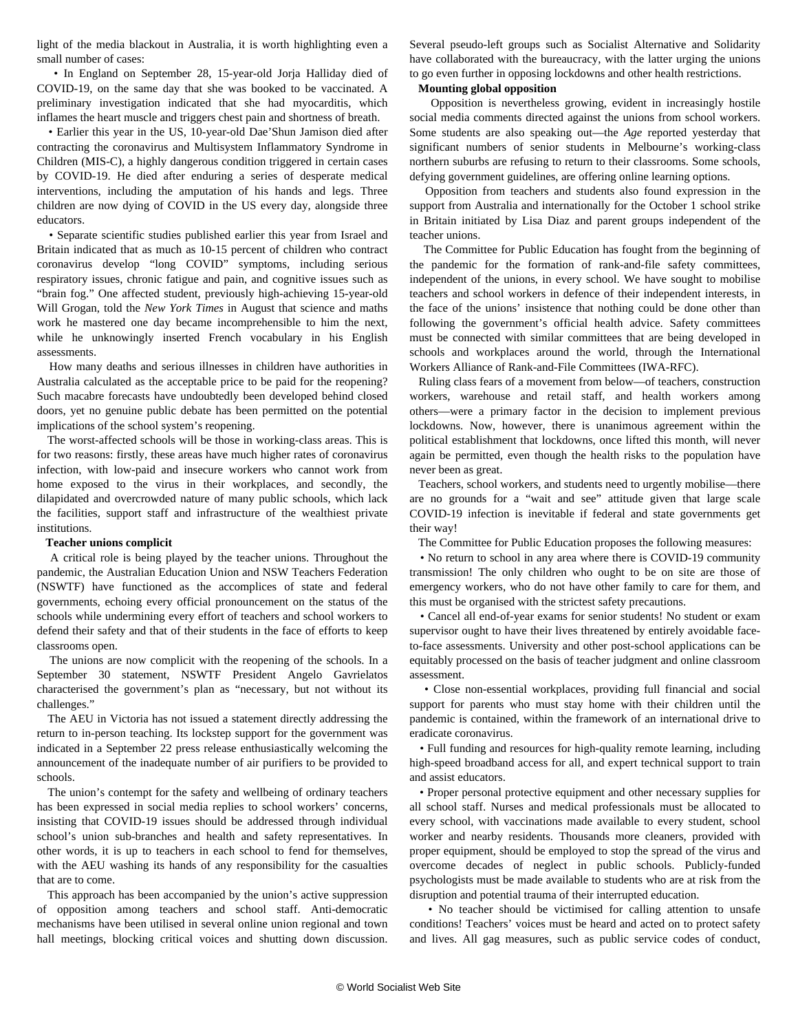light of the media blackout in Australia, it is worth highlighting even a small number of cases:

 • In England on September 28, 15-year-old Jorja Halliday died of COVID-19, on the same day that she was booked to be vaccinated. A preliminary investigation indicated that she had myocarditis, which inflames the heart muscle and triggers chest pain and shortness of breath.

 • Earlier this year in the US, 10-year-old Dae'Shun Jamison died after contracting the coronavirus and Multisystem Inflammatory Syndrome in Children (MIS-C), a highly dangerous condition triggered in certain cases by COVID-19. He died after enduring a series of desperate medical interventions, including the amputation of his hands and legs. Three children are now dying of COVID in the US every day, alongside three educators.

 • Separate scientific studies published earlier this year from Israel and Britain indicated that as much as 10-15 percent of children who contract coronavirus develop "long COVID" symptoms, including serious respiratory issues, chronic fatigue and pain, and cognitive issues such as "brain fog." One affected student, previously high-achieving 15-year-old Will Grogan, told the *New York Times* in August that science and maths work he mastered one day became incomprehensible to him the next, while he unknowingly inserted French vocabulary in his English assessments.

 How many deaths and serious illnesses in children have authorities in Australia calculated as the acceptable price to be paid for the reopening? Such macabre forecasts have undoubtedly been developed behind closed doors, yet no genuine public debate has been permitted on the potential implications of the school system's reopening.

 The worst-affected schools will be those in working-class areas. This is for two reasons: firstly, these areas have much higher rates of coronavirus infection, with low-paid and insecure workers who cannot work from home exposed to the virus in their workplaces, and secondly, the dilapidated and overcrowded nature of many public schools, which lack the facilities, support staff and infrastructure of the wealthiest private institutions.

#### **Teacher unions complicit**

 A critical role is being played by the teacher unions. Throughout the pandemic, the Australian Education Union and NSW Teachers Federation (NSWTF) have functioned as the accomplices of state and federal governments, echoing every official pronouncement on the status of the schools while undermining every effort of teachers and school workers to defend their safety and that of their students in the face of efforts to keep classrooms open.

 The unions are now complicit with the reopening of the schools. In a September 30 statement, NSWTF President Angelo Gavrielatos characterised the government's plan as "necessary, but not without its challenges."

 The AEU in Victoria has not issued a statement directly addressing the return to in-person teaching. Its lockstep support for the government was indicated in a September 22 press release enthusiastically welcoming the announcement of the inadequate number of air purifiers to be provided to schools.

 The union's contempt for the safety and wellbeing of ordinary teachers has been expressed in social media replies to school workers' concerns, insisting that COVID-19 issues should be addressed through individual school's union sub-branches and health and safety representatives. In other words, it is up to teachers in each school to fend for themselves, with the AEU washing its hands of any responsibility for the casualties that are to come.

 This approach has been accompanied by the union's active suppression of opposition among teachers and school staff. Anti-democratic mechanisms have been utilised in several online union regional and town hall meetings, blocking critical voices and shutting down discussion. Several pseudo-left groups such as Socialist Alternative and Solidarity have collaborated with the bureaucracy, with the latter urging the unions to go even further in opposing lockdowns and other health restrictions.

#### **Mounting global opposition**

 Opposition is nevertheless growing, evident in increasingly hostile social media comments directed against the unions from school workers. Some students are also speaking out—the *Age* reported yesterday that significant numbers of senior students in Melbourne's working-class northern suburbs are refusing to return to their classrooms. Some schools, defying government guidelines, are offering online learning options.

 Opposition from teachers and students also found expression in the support from Australia and internationally for the October 1 school strike in Britain initiated by Lisa Diaz and parent groups independent of the teacher unions.

 The Committee for Public Education has fought from the beginning of the pandemic for the formation of rank-and-file safety committees, independent of the unions, in every school. We have sought to mobilise teachers and school workers in defence of their independent interests, in the face of the unions' insistence that nothing could be done other than following the government's official health advice. Safety committees must be connected with similar committees that are being developed in schools and workplaces around the world, through the [International](/en/articles/2021/04/24/pers-a24.html) [Workers Alliance of Rank-and-File Committees](/en/articles/2021/04/24/pers-a24.html) (IWA-RFC).

 Ruling class fears of a movement from below—of teachers, construction workers, warehouse and retail staff, and health workers among others—were a primary factor in the decision to implement previous lockdowns. Now, however, there is unanimous agreement within the political establishment that lockdowns, once lifted this month, will never again be permitted, even though the health risks to the population have never been as great.

 Teachers, school workers, and students need to urgently mobilise—there are no grounds for a "wait and see" attitude given that large scale COVID-19 infection is inevitable if federal and state governments get their way!

The Committee for Public Education proposes the following measures:

 • No return to school in any area where there is COVID-19 community transmission! The only children who ought to be on site are those of emergency workers, who do not have other family to care for them, and this must be organised with the strictest safety precautions.

 • Cancel all end-of-year exams for senior students! No student or exam supervisor ought to have their lives threatened by entirely avoidable faceto-face assessments. University and other post-school applications can be equitably processed on the basis of teacher judgment and online classroom assessment.

 • Close non-essential workplaces, providing full financial and social support for parents who must stay home with their children until the pandemic is contained, within the framework of an international drive to eradicate coronavirus.

 • Full funding and resources for high-quality remote learning, including high-speed broadband access for all, and expert technical support to train and assist educators.

 • Proper personal protective equipment and other necessary supplies for all school staff. Nurses and medical professionals must be allocated to every school, with vaccinations made available to every student, school worker and nearby residents. Thousands more cleaners, provided with proper equipment, should be employed to stop the spread of the virus and overcome decades of neglect in public schools. Publicly-funded psychologists must be made available to students who are at risk from the disruption and potential trauma of their interrupted education.

 • No teacher should be victimised for calling attention to unsafe conditions! Teachers' voices must be heard and acted on to protect safety and lives. All gag measures, such as public service codes of conduct,